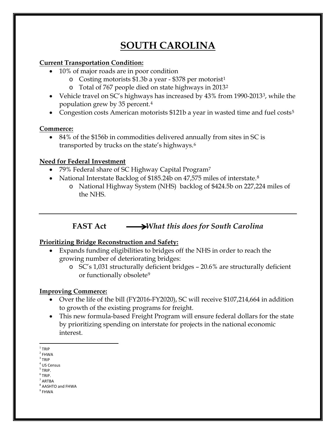# **SOUTH CAROLINA**

#### **Current Transportation Condition:**

- 10% of major roads are in poor condition
	- o Costing motorists  $$1.3b$  $$1.3b$  $$1.3b$  a year \$378 per motorist<sup>1</sup>
	- o Total of 767 people died on state highways in 2013[2](#page-0-1)
- Vehicle travel on SC's highways has increased by 4[3](#page-0-2)% from 1990-2013<sup>3</sup>, while the population grew by 35 percent.[4](#page-0-3)
- Congestion costs American motorists \$121b a year in wasted time and fuel costs<sup>[5](#page-0-4)</sup>

### **Commerce:**

• 84% of the \$156b in commodities delivered annually from sites in SC is transported by trucks on the state's highways.[6](#page-0-5)

### **Need for Federal Investment**

- [7](#page-0-6)9% Federal share of SC Highway Capital Program<sup>7</sup>
- National Interstate Backlog of \$1[8](#page-0-7)5.24b on 47,575 miles of interstate.<sup>8</sup>
	- o National Highway System (NHS) backlog of \$424.5b on 227,224 miles of the NHS.

## **FAST** Act *What this does for South Carolina*

### **Prioritizing Bridge Reconstruction and Safety:**

- Expands funding eligibilities to bridges off the NHS in order to reach the growing number of deteriorating bridges:
	- o SC's 1,031 structurally deficient bridges 20.6% are structurally deficient or functionally obsolete<sup>[9](#page-0-8)</sup>

### **Improving Commerce:**

- Over the life of the bill (FY2016-FY2020), SC will receive \$107,214,664 in addition to growth of the existing programs for freight.
- This new formula-based Freight Program will ensure federal dollars for the state by prioritizing spending on interstate for projects in the national economic interest.

<span id="page-0-0"></span> $1$  TRIP

<span id="page-0-1"></span> $2$  FHWA

<span id="page-0-2"></span> $3$  TRIP

<sup>4</sup> US Census

<span id="page-0-4"></span><span id="page-0-3"></span> $<sup>5</sup>$  TRIP.</sup>

<span id="page-0-5"></span> $<sup>6</sup>$  TRIP.</sup>

<span id="page-0-6"></span><sup>7</sup> ARTBA <sup>8</sup> AASHTO and FHWA

<span id="page-0-8"></span><span id="page-0-7"></span> $9$  FHWA